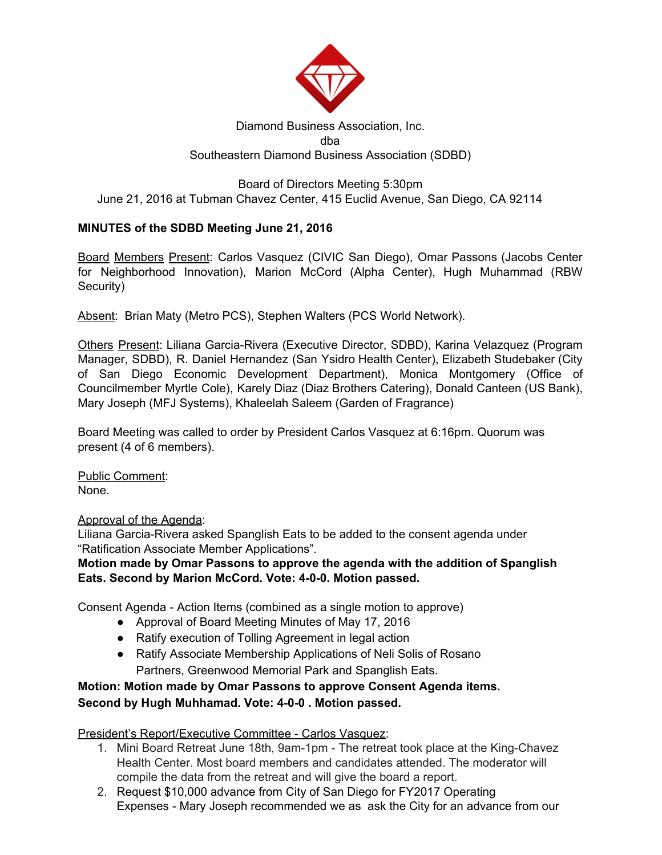

## Diamond Business Association, Inc. dba Southeastern Diamond Business Association (SDBD)

## Board of Directors Meeting 5:30pm June 21, 2016 at Tubman Chavez Center, 415 Euclid Avenue, San Diego, CA 92114

## **MINUTES of the SDBD Meeting June 21, 2016**

Board Members Present: Carlos Vasquez (CIVIC San Diego), Omar Passons (Jacobs Center for Neighborhood Innovation), Marion McCord (Alpha Center), Hugh Muhammad (RBW Security)

Absent: Brian Maty (Metro PCS), Stephen Walters (PCS World Network).

Others Present: Liliana Garcia-Rivera (Executive Director, SDBD), Karina Velazquez (Program Manager, SDBD), R. Daniel Hernandez (San Ysidro Health Center), Elizabeth Studebaker (City of San Diego Economic Development Department), Monica Montgomery (Office of Councilmember Myrtle Cole), Karely Diaz (Diaz Brothers Catering), Donald Canteen (US Bank), Mary Joseph (MFJ Systems), Khaleelah Saleem (Garden of Fragrance)

Board Meeting was called to order by President Carlos Vasquez at 6:16pm. Quorum was present (4 of 6 members).

Public Comment: None.

Approval of the Agenda:

Liliana Garcia-Rivera asked Spanglish Eats to be added to the consent agenda under "Ratification Associate Member Applications".

**Motion made by Omar Passons to approve the agenda with the addition of Spanglish Eats. Second by Marion McCord. Vote: 4-0-0. Motion passed.**

Consent Agenda - Action Items (combined as a single motion to approve)

- Approval of Board Meeting Minutes of May 17, 2016
- Ratify execution of Tolling Agreement in legal action
- Ratify Associate Membership Applications of Neli Solis of Rosano Partners, Greenwood Memorial Park and Spanglish Eats.

# **Motion: Motion made by Omar Passons to approve Consent Agenda items. Second by Hugh Muhhamad. Vote: 4-0-0 . Motion passed.**

President's Report/Executive Committee - Carlos Vasquez:

- 1. Mini Board Retreat June 18th, 9am-1pm The retreat took place at the King-Chavez Health Center. Most board members and candidates attended. The moderator will compile the data from the retreat and will give the board a report.
- 2. Request \$10,000 advance from City of San Diego for FY2017 Operating Expenses - Mary Joseph recommended we as ask the City for an advance from our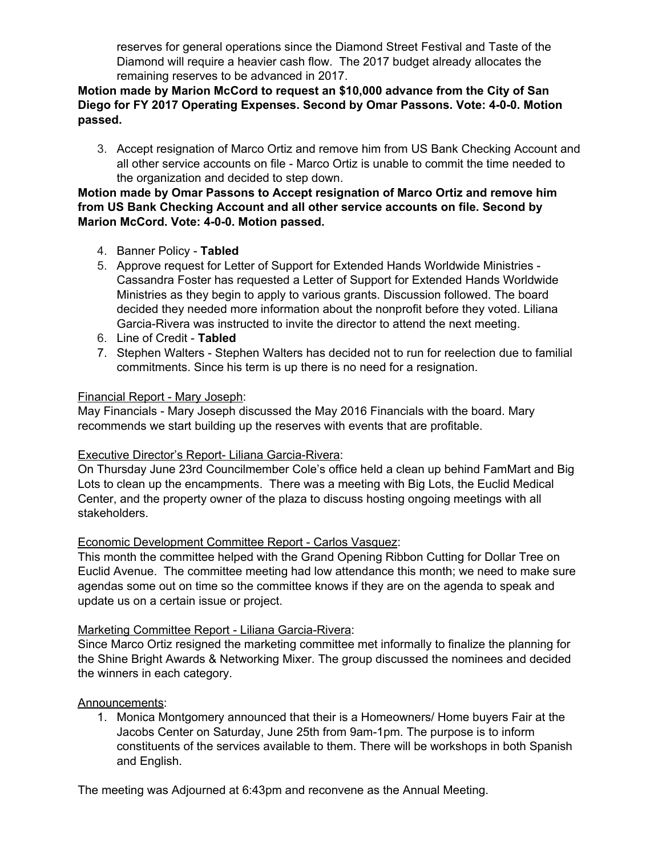reserves for general operations since the Diamond Street Festival and Taste of the Diamond will require a heavier cash flow. The 2017 budget already allocates the remaining reserves to be advanced in 2017.

## **Motion made by Marion McCord to request an \$10,000 advance from the City of San Diego for FY 2017 Operating Expenses. Second by Omar Passons. Vote: 4-0-0. Motion passed.**

3. Accept resignation of Marco Ortiz and remove him from US Bank Checking Account and all other service accounts on file - Marco Ortiz is unable to commit the time needed to the organization and decided to step down.

## **Motion made by Omar Passons to Accept resignation of Marco Ortiz and remove him from US Bank Checking Account and all other service accounts on file. Second by Marion McCord. Vote: 4-0-0. Motion passed.**

- 4. Banner Policy **Tabled**
- 5. Approve request for Letter of Support for Extended Hands Worldwide Ministries Cassandra Foster has requested a Letter of Support for Extended Hands Worldwide Ministries as they begin to apply to various grants. Discussion followed. The board decided they needed more information about the nonprofit before they voted. Liliana Garcia-Rivera was instructed to invite the director to attend the next meeting.
- 6. Line of Credit **Tabled**
- 7. Stephen Walters Stephen Walters has decided not to run for reelection due to familial commitments. Since his term is up there is no need for a resignation.

#### Financial Report - Mary Joseph:

May Financials - Mary Joseph discussed the May 2016 Financials with the board. Mary recommends we start building up the reserves with events that are profitable.

#### Executive Director's Report- Liliana Garcia-Rivera:

On Thursday June 23rd Councilmember Cole's office held a clean up behind FamMart and Big Lots to clean up the encampments. There was a meeting with Big Lots, the Euclid Medical Center, and the property owner of the plaza to discuss hosting ongoing meetings with all stakeholders.

#### Economic Development Committee Report - Carlos Vasquez:

This month the committee helped with the Grand Opening Ribbon Cutting for Dollar Tree on Euclid Avenue. The committee meeting had low attendance this month; we need to make sure agendas some out on time so the committee knows if they are on the agenda to speak and update us on a certain issue or project.

#### Marketing Committee Report - Liliana Garcia-Rivera:

Since Marco Ortiz resigned the marketing committee met informally to finalize the planning for the Shine Bright Awards & Networking Mixer. The group discussed the nominees and decided the winners in each category.

#### Announcements:

1. Monica Montgomery announced that their is a Homeowners/ Home buyers Fair at the Jacobs Center on Saturday, June 25th from 9am-1pm. The purpose is to inform constituents of the services available to them. There will be workshops in both Spanish and English.

The meeting was Adjourned at 6:43pm and reconvene as the Annual Meeting.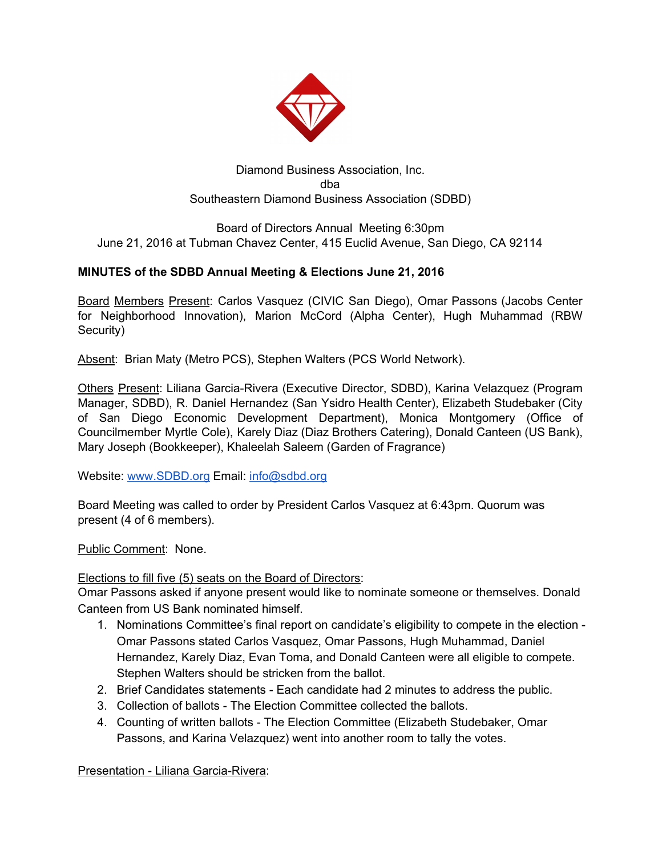

## Diamond Business Association, Inc. dba Southeastern Diamond Business Association (SDBD)

## Board of Directors Annual Meeting 6:30pm June 21, 2016 at Tubman Chavez Center, 415 Euclid Avenue, San Diego, CA 92114

## **MINUTES of the SDBD Annual Meeting & Elections June 21, 2016**

Board Members Present: Carlos Vasquez (CIVIC San Diego), Omar Passons (Jacobs Center for Neighborhood Innovation), Marion McCord (Alpha Center), Hugh Muhammad (RBW Security)

Absent: Brian Maty (Metro PCS), Stephen Walters (PCS World Network).

Others Present: Liliana Garcia-Rivera (Executive Director, SDBD), Karina Velazquez (Program Manager, SDBD), R. Daniel Hernandez (San Ysidro Health Center), Elizabeth Studebaker (City of San Diego Economic Development Department), Monica Montgomery (Office of Councilmember Myrtle Cole), Karely Diaz (Diaz Brothers Catering), Donald Canteen (US Bank), Mary Joseph (Bookkeeper), Khaleelah Saleem (Garden of Fragrance)

Website: [www.SDBD.org](http://www.sdbd.org/) Email: [info@sdbd.org](mailto:info@sdbd.org)

Board Meeting was called to order by President Carlos Vasquez at 6:43pm. Quorum was present (4 of 6 members).

Public Comment: None.

Elections to fill five (5) seats on the Board of Directors:

Omar Passons asked if anyone present would like to nominate someone or themselves. Donald Canteen from US Bank nominated himself.

- 1. Nominations Committee's final report on candidate's eligibility to compete in the election Omar Passons stated Carlos Vasquez, Omar Passons, Hugh Muhammad, Daniel Hernandez, Karely Diaz, Evan Toma, and Donald Canteen were all eligible to compete. Stephen Walters should be stricken from the ballot.
- 2. Brief Candidates statements Each candidate had 2 minutes to address the public.
- 3. Collection of ballots The Election Committee collected the ballots.
- 4. Counting of written ballots The Election Committee (Elizabeth Studebaker, Omar Passons, and Karina Velazquez) went into another room to tally the votes.

Presentation - Liliana Garcia-Rivera: